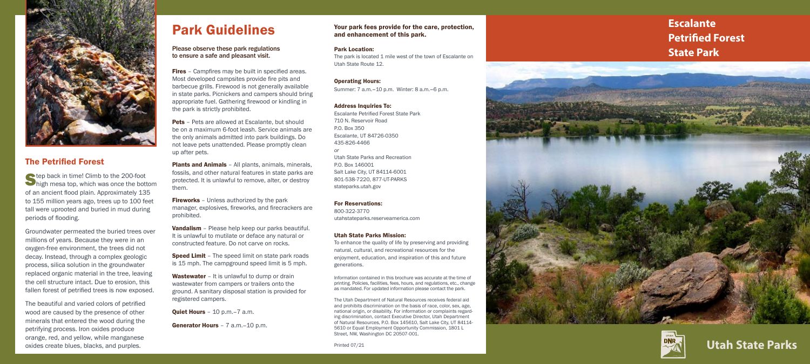**Escalante Petrified Forest State Park**





#### Your park fees provide for the care, protection, and enhancement of this park.

#### Park Location:

The park is located 1 mile west of the town of Escalante on Utah State Route 12.

#### Operating Hours:

Summer: 7 a.m.–10 p.m. Winter: 8 a.m.–6 p.m.

#### Address Inquiries To:

Escalante Petrified Forest State Park 710 N. Reservoir Road P.O. Box 350 Escalante, UT 84726-0350 435-826-4466 *or* Utah State Parks and Recreation P.O. Box 146001 Salt Lake City, UT 84114-6001 801-538-7220, 877-UT-PARKS stateparks.utah.gov

#### For Reservations:

800-322-3770 utahstateparks.reserveamerica.com

#### Utah State Parks Mission:

To enhance the quality of life by preserving and providing natural, cultural, and recreational resources for the enjoyment, education, and inspiration of this and future generations.

**Fires** – Campfires may be built in specified areas. Most developed campsites provide fire pits and barbecue grills. Firewood is not generally available in state parks. Picnickers and campers should bring appropriate fuel. Gathering firewood or kindling in the park is strictly prohibited.

> Information contained in this brochure was accurate at the time of printing. Policies, facilities, fees, hours, and regulations, etc., change as mandated. For updated information please contact the park.

**Pets** – Pets are allowed at Escalante, but should be on a maximum 6-foot leash. Service animals are the only animals admitted into park buildings. Do not leave pets unattended. Please promptly clean up after pets.

Plants and Animals - All plants, animals, minerals, fossils, and other natural features in state parks are protected. It is unlawful to remove, alter, or destroy them.

**Fireworks** – Unless authorized by the park manager, explosives, fireworks, and firecrackers are prohibited.

> The Utah Department of Natural Resources receives federal aid and prohibits discrimination on the basis of race, color, sex, age, national origin, or disability. For information or complaints regard ing discrimination, contact Executive Director, Utah Department of Natural Resources, P.O. Box 145610, Salt Lake City, UT 84114- 5610 or Equal Employment Opportunity Commission, 1801 L Street, NW, Washington DC 20507-001.

**Speed Limit** - The speed limit on state park roads is 15 mph. The campground speed limit is 5 mph.

Wastewater – It is unlawful to dump or drain wastewater from campers or trailers onto the ground. A sanitary disposal station is provided for registered campers.

**Quiet Hours** - 10 p.m. - 7 a.m.

Generator Hours - 7 a.m.-10 p.m.

Printed 07/21

## Park Guidelines

#### Please observe these park regulations to ensure a safe and pleasant visit.

Step back in time! Climb to the 200-foot<br>high mesa top, which was once the bottom of an ancient flood plain. Approximately 135 to 155 million years ago, trees up to 100 feet tall were uprooted and buried in mud during periods of flooding.

The beautiful and varied colors of petrified wood are caused by the presence of other minerals that entered the wood during the petrifying process. Iron oxides produce orange, red, and yellow, while manganese  $\alpha$ idings, reat, and yenew, while mangemese

Vandalism – Please help keep our parks beautiful. It is unlawful to mutilate or deface any natural or constructed feature. Do not carve on rocks.



### The Petrified Forest

Groundwater permeated the buried trees over millions of years. Because they were in an oxygen-free environment, the trees did not decay. Instead, through a complex geologic process, silica solution in the groundwater replaced organic material in the tree, leaving the cell structure intact. Due to erosion, this fallen forest of petrified trees is now exposed.